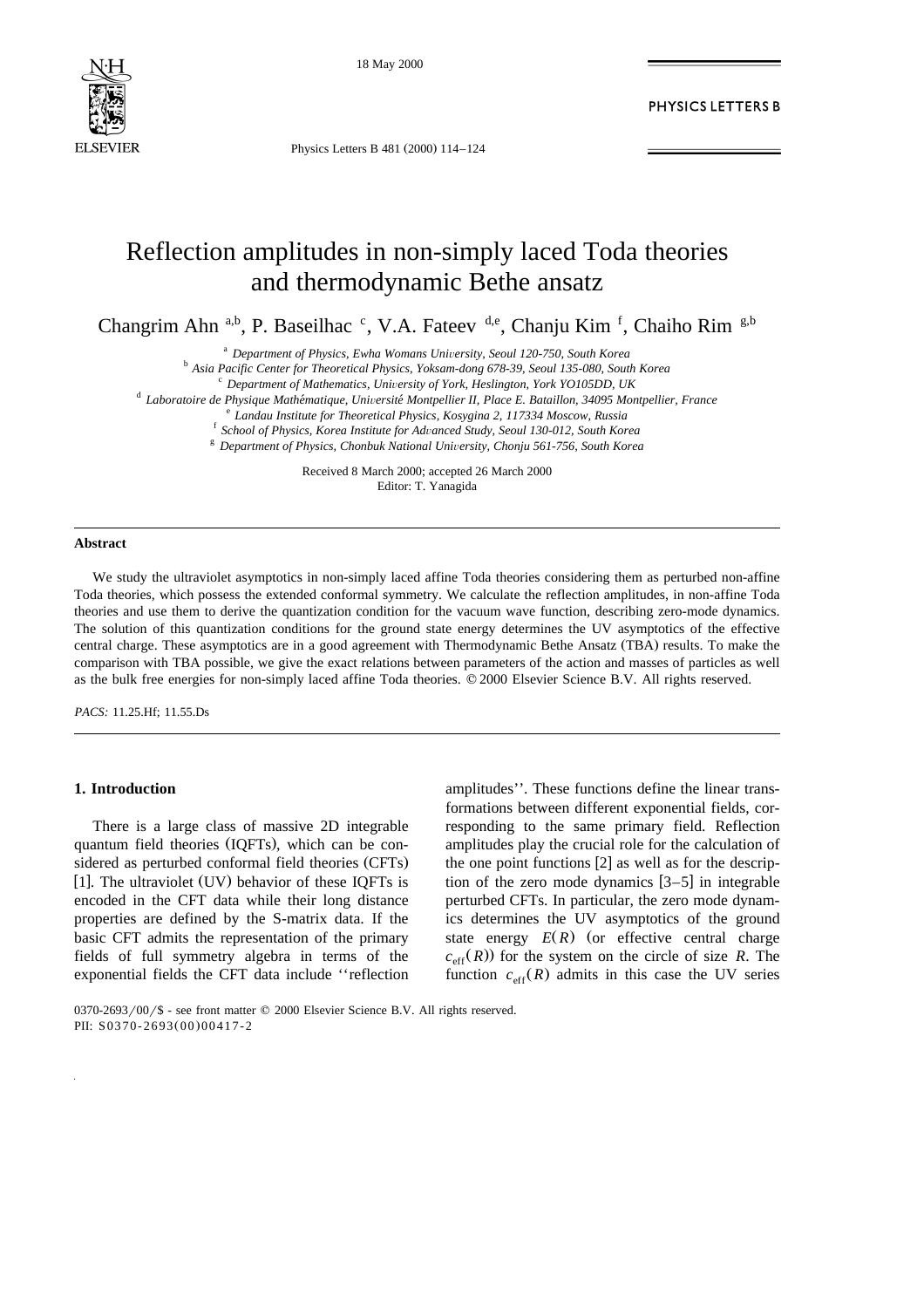

18 May 2000

Physics Letters B 481 (2000) 114-124

## PHYSICS LETTERS B

# Reflection amplitudes in non-simply laced Toda theories and thermodynamic Bethe ansatz

Changrim Ahn<sup>a,b</sup>, P. Baseilhac <sup>c</sup>, V.A. Fateev <sup>d,e</sup>, Chanju Kim<sup>f</sup>, Chaiho Rim<sup>g,b</sup>

<sup>a</sup> Department of Physics, Ewha Womans University, Seoul 120-750, South Korea<br><sup>b</sup> Asia Pacific Center for Theoretical Physics, Yoksam-dong 678-39, Seoul 135-080, South Korea<br><sup>c</sup> Department of Mathematics, University of Yo

Received 8 March 2000; accepted 26 March 2000 Editor: T. Yanagida

#### **Abstract**

We study the ultraviolet asymptotics in non-simply laced affine Toda theories considering them as perturbed non-affine Toda theories, which possess the extended conformal symmetry. We calculate the reflection amplitudes, in non-affine Toda theories and use them to derive the quantization condition for the vacuum wave function, describing zero-mode dynamics. The solution of this quantization conditions for the ground state energy determines the UV asymptotics of the effective central charge. These asymptotics are in a good agreement with Thermodynamic Bethe Ansatz (TBA) results. To make the comparison with TBA possible, we give the exact relations between parameters of the action and masses of particles as well as the bulk free energies for non-simply laced affine Toda theories.  $\heartsuit$  2000 Elsevier Science B.V. All rights reserved.

*PACS:* 11.25.Hf; 11.55.Ds

### **1. Introduction**

There is a large class of massive 2D integrable quantum field theories (IQFTs), which can be considered as perturbed conformal field theories (CFTs) [1]. The ultraviolet  $(UV)$  behavior of these IQFTs is encoded in the CFT data while their long distance properties are defined by the S-matrix data. If the basic CFT admits the representation of the primary fields of full symmetry algebra in terms of the exponential fields the CFT data include ''reflection

amplitudes''. These functions define the linear transformations between different exponential fields, corresponding to the same primary field. Reflection amplitudes play the crucial role for the calculation of the one point functions  $[2]$  as well as for the description of the zero mode dynamics  $[3-5]$  in integrable perturbed CFTs. In particular, the zero mode dynamics determines the UV asymptotics of the ground state energy  $E(R)$  (or effective central charge  $c_{\text{eff}}(R)$  for the system on the circle of size *R*. The function  $c_{\text{eff}}(R)$  admits in this case the UV series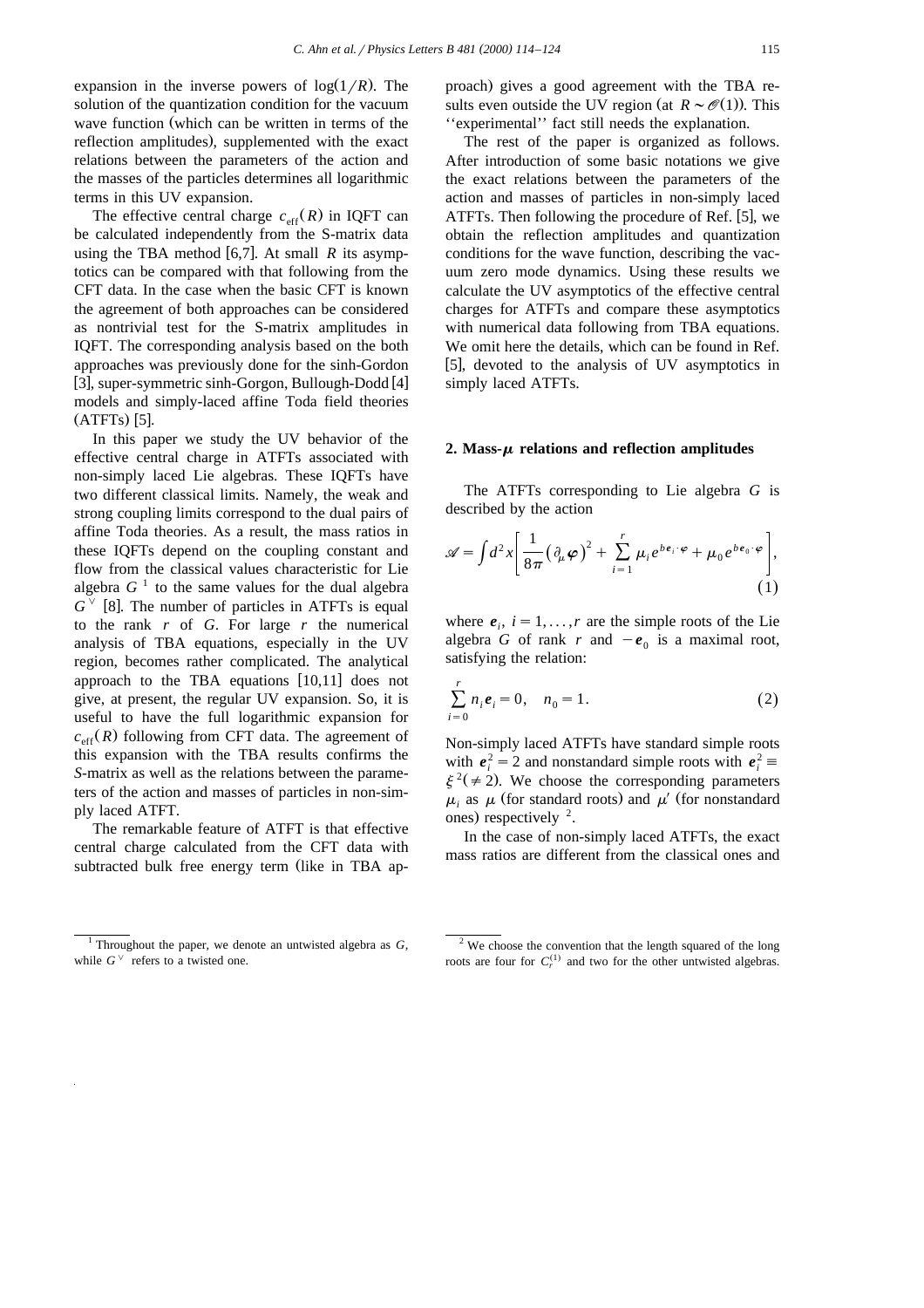expansion in the inverse powers of  $log(1/R)$ . The solution of the quantization condition for the vacuum wave function (which can be written in terms of the reflection amplitudes), supplemented with the exact relations between the parameters of the action and the masses of the particles determines all logarithmic terms in this UV expansion.

The effective central charge  $c_{\text{eff}}(R)$  in IQFT can be calculated independently from the S-matrix data using the TBA method  $[6,7]$ . At small R its asymptotics can be compared with that following from the CFT data. In the case when the basic CFT is known the agreement of both approaches can be considered as nontrivial test for the S-matrix amplitudes in IQFT. The corresponding analysis based on the both approaches was previously done for the sinh-Gordon  $\overline{[3]}$ , super-symmetric sinh-Gorgon, Bullough-Dodd  $[4]$ models and simply-laced affine Toda field theories  $(ATTS)$  [5].

In this paper we study the UV behavior of the effective central charge in ATFTs associated with non-simply laced Lie algebras. These IQFTs have two different classical limits. Namely, the weak and strong coupling limits correspond to the dual pairs of affine Toda theories. As a result, the mass ratios in these IQFTs depend on the coupling constant and flow from the classical values characteristic for Lie algebra  $G<sup>-1</sup>$  to the same values for the dual algebra  $G^{\vee}$  [8]. The number of particles in ATFTs is equal to the rank *r* of *G*. For large *r* the numerical analysis of TBA equations, especially in the UV region, becomes rather complicated. The analytical approach to the TBA equations  $[10,11]$  does not give, at present, the regular UV expansion. So, it is useful to have the full logarithmic expansion for  $c_{\text{eff}}(R)$  following from CFT data. The agreement of this expansion with the TBA results confirms the *S*-matrix as well as the relations between the parameters of the action and masses of particles in non-simply laced ATFT.

The remarkable feature of ATFT is that effective central charge calculated from the CFT data with subtracted bulk free energy term (like in TBA ap-

The rest of the paper is organized as follows. After introduction of some basic notations we give the exact relations between the parameters of the action and masses of particles in non-simply laced ATFTs. Then following the procedure of Ref. [5], we obtain the reflection amplitudes and quantization conditions for the wave function, describing the vacuum zero mode dynamics. Using these results we calculate the UV asymptotics of the effective central charges for ATFTs and compare these asymptotics with numerical data following from TBA equations. We omit here the details, which can be found in Ref. [5], devoted to the analysis of UV asymptotics in simply laced ATFTs.

#### 2. Mass- $\mu$  relations and reflection amplitudes

The ATFTs corresponding to Lie algebra *G* is described by the action

$$
\mathscr{A} = \int d^2x \left[ \frac{1}{8\pi} \left( \partial_\mu \varphi \right)^2 + \sum_{i=1}^r \mu_i e^{b e_i \cdot \varphi} + \mu_0 e^{b e_0 \cdot \varphi} \right],
$$
\n(1)

where  $e_i$ ,  $i = 1, \ldots, r$  are the simple roots of the Lie algebra *G* of rank *r* and  $-e_0$  is a maximal root, satisfying the relation:

$$
\sum_{i=0}^{r} n_i e_i = 0, \quad n_0 = 1.
$$
 (2)

Non-simply laced ATFTs have standard simple roots with  $e_i^2 = 2$  and nonstandard simple roots with  $e_i^2 \equiv \xi^2 (\neq 2)$ . We choose the corresponding parameters  $\mu_i$  as  $\mu$  (for standard roots) and  $\mu'$  (for nonstandard ones) respectively  $2$ .

In the case of non-simply laced ATFTs, the exact mass ratios are different from the classical ones and

proach) gives a good agreement with the TBA results even outside the UV region (at  $R \sim \mathcal{O}(1)$ ). This ''experimental'' fact still needs the explanation.

<sup>&</sup>lt;sup>1</sup> Throughout the paper, we denote an untwisted algebra as  $G$ , while  $G^{\vee}$  refers to a twisted one.

 $2$  We choose the convention that the length squared of the long roots are four for  $C_r^{(1)}$  and two for the other untwisted algebras.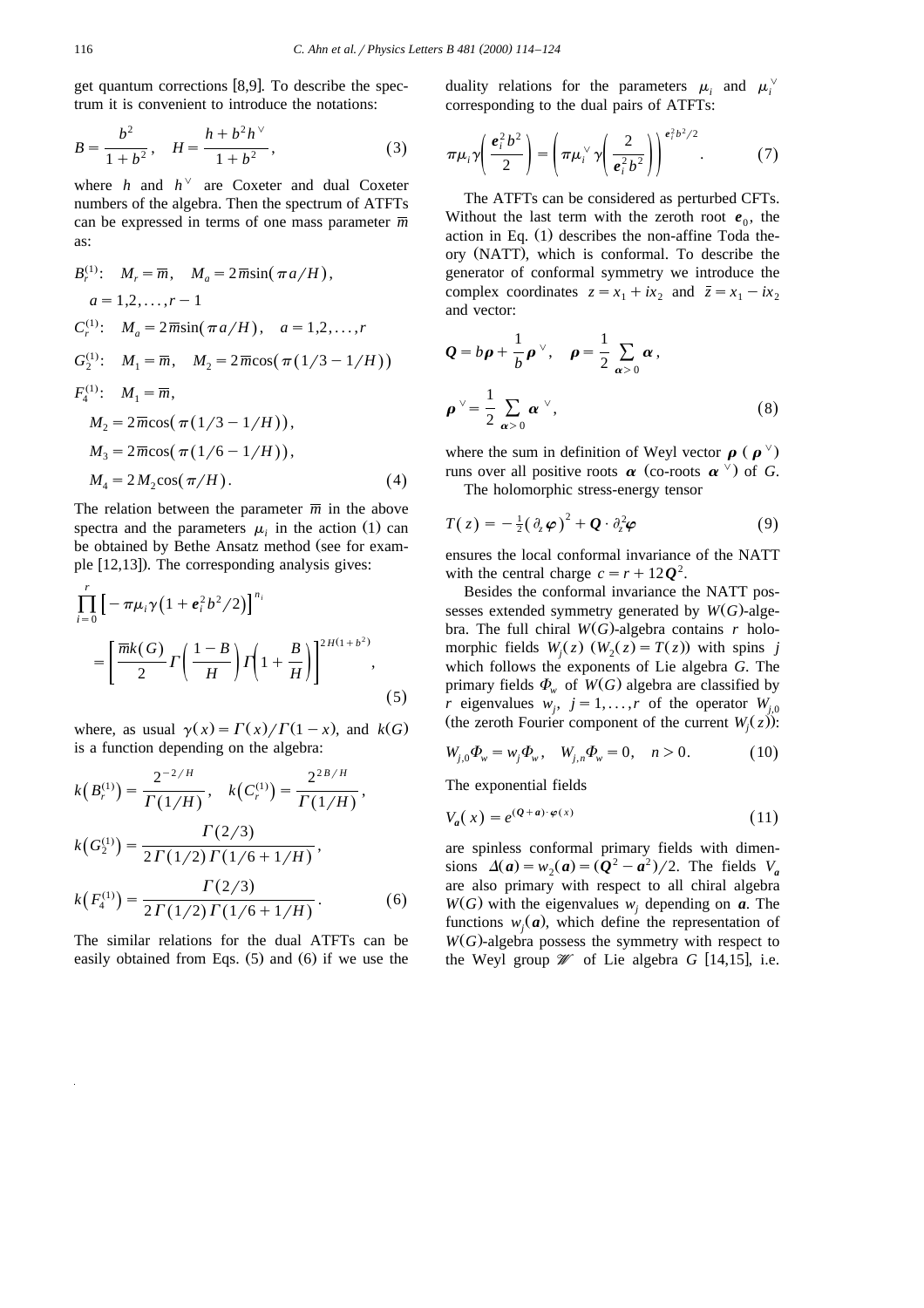get quantum corrections  $[8, 9]$ . To describe the spectrum it is convenient to introduce the notations:

$$
B = \frac{b^2}{1 + b^2}, \quad H = \frac{h + b^2 h^{\vee}}{1 + b^2}, \tag{3}
$$

where *h* and  $h^{\vee}$  are Coxeter and dual Coxeter numbers of the algebra. Then the spectrum of ATFTs can be expressed in terms of one mass parameter  $\overline{m}$ as:

$$
B_r^{(1)}: M_r = \overline{m}, M_a = 2\overline{m}\sin(\pi a/H),
$$
  
\n
$$
a = 1, 2, ..., r - 1
$$
  
\n
$$
C_r^{(1)}: M_a = 2\overline{m}\sin(\pi a/H), a = 1, 2, ..., r
$$
  
\n
$$
G_2^{(1)}: M_1 = \overline{m}, M_2 = 2\overline{m}\cos(\pi(1/3 - 1/H))
$$
  
\n
$$
F_4^{(1)}: M_1 = \overline{m},
$$
  
\n
$$
M_2 = 2\overline{m}\cos(\pi(1/3 - 1/H)),
$$
  
\n
$$
M_3 = 2\overline{m}\cos(\pi(1/6 - 1/H)),
$$
  
\n
$$
M_4 = 2M_2\cos(\pi/H).
$$
  
\n(4)

The relation between the parameter  $\overline{m}$  in the above spectra and the parameters  $\mu_i$  in the action (1) can be obtained by Bethe Ansatz method (see for example  $[12,13]$ ). The corresponding analysis gives:

$$
\prod_{i=0}^{r} \left[ -\pi \mu_i \gamma \left( 1 + e_i^2 b^2 / 2 \right) \right]^{n_i}
$$
\n
$$
= \left[ \frac{\overline{m} k(G)}{2} \Gamma \left( \frac{1 - B}{H} \right) \Gamma \left( 1 + \frac{B}{H} \right) \right]^{2H(1 + b^2)},
$$
\n(5)

where, as usual  $\gamma(x) = \Gamma(x)/\Gamma(1-x)$ , and  $k(G)$ is a function depending on the algebra:

$$
k(B_r^{(1)}) = \frac{2^{-2/H}}{\Gamma(1/H)}, \quad k(C_r^{(1)}) = \frac{2^{2B/H}}{\Gamma(1/H)},
$$
  
\n
$$
k(G_2^{(1)}) = \frac{\Gamma(2/3)}{2\Gamma(1/2)\Gamma(1/6+1/H)},
$$
  
\n
$$
k(F_4^{(1)}) = \frac{\Gamma(2/3)}{2\Gamma(1/2)\Gamma(1/6+1/H)}.
$$
 (6)

The similar relations for the dual ATFTs can be easily obtained from Eqs.  $(5)$  and  $(6)$  if we use the duality relations for the parameters  $\mu_i$  and  $\mu_i^{\vee}$ corresponding to the dual pairs of ATFTs:

$$
\pi \mu_i \gamma \left( \frac{e_i^2 b^2}{2} \right) = \left( \pi \mu_i^{\vee} \gamma \left( \frac{2}{e_i^2 b^2} \right) \right)^{e_i^2 b^2 / 2} . \tag{7}
$$

The ATFTs can be considered as perturbed CFTs. Without the last term with the zeroth root  $e_0$ , the action in Eq.  $(1)$  describes the non-affine Toda theory (NATT), which is conformal. To describe the generator of conformal symmetry we introduce the complex coordinates  $z = x_1 + ix_2$  and  $\overline{z} = x_1 - ix_2$ and vector:

$$
Q = b\rho + \frac{1}{b}\rho^{\vee}, \quad \rho = \frac{1}{2} \sum_{\alpha > 0} \alpha,
$$
  

$$
\rho^{\vee} = \frac{1}{2} \sum_{\alpha > 0} \alpha^{\vee},
$$
 (8)

where the sum in definition of Weyl vector  $\rho$  ( $\rho^{\vee}$ ) runs over all positive roots  $\alpha$  (co-roots  $\alpha^{\vee}$ ) of *G*.

The holomorphic stress-energy tensor

$$
T(z) = -\frac{1}{2} (\partial_z \varphi)^2 + Q \cdot \partial_z^2 \varphi \tag{9}
$$

ensures the local conformal invariance of the NATT with the central charge  $c = r + 12Q^2$ .

Besides the conformal invariance the NATT possesses extended symmetry generated by  $W(G)$ -algebra. The full chiral  $W(G)$ -algebra contains *r* holomorphic fields  $W_i(z)$   $(W_2(z) = T(z))$  with spins *j* which follows the exponents of Lie algebra *G*. The primary fields  $\Phi_w$  of  $W(G)$  algebra are classified by *r* eigenvalues  $w_i$ ,  $j = 1, \ldots, r$  of the operator  $W_{i,0}$ (the zeroth Fourier component of the current *W*<sub>*i*</sub>( $z$ )):

$$
W_{j,0}\Phi_w = w_j \Phi_w, \quad W_{j,n}\Phi_w = 0, \quad n > 0.
$$
 (10)

The exponential fields

$$
V_a(x) = e^{(Q+a)\cdot\varphi(x)}\tag{11}
$$

are spinless conformal primary fields with dimensions  $\Delta(a) = w_2(a) = (Q^2 - a^2)/2$ . The fields  $V_a$ are also primary with respect to all chiral algebra  $W(G)$  with the eigenvalues  $w_i$  depending on *a*. The functions  $w_i(a)$ , which define the representation of  $W(G)$ -algebra possess the symmetry with respect to the Weyl group  $W$  of Lie algebra *G* [14,15], i.e.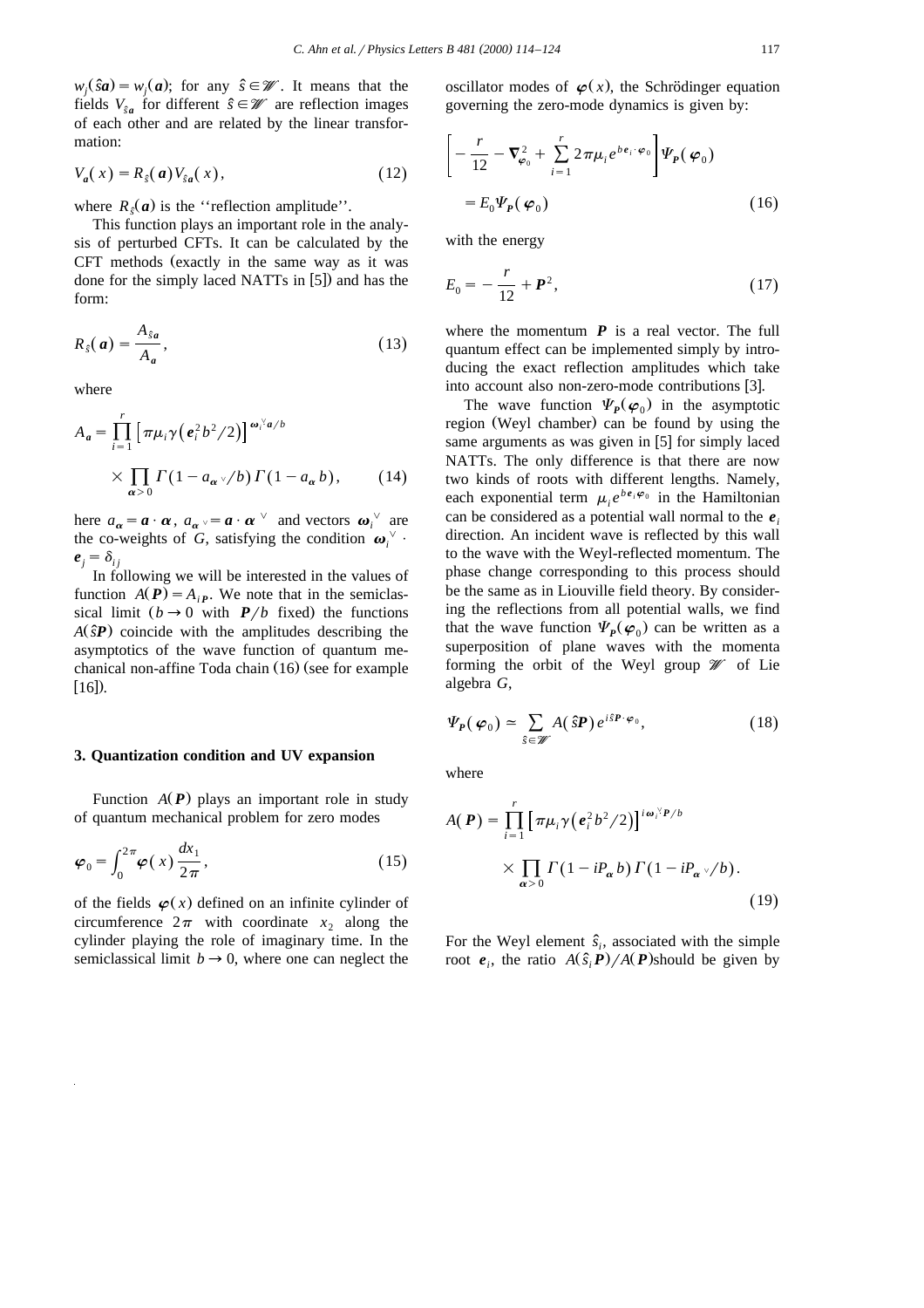$w_i(\hat{s}\mathbf{a}) = w_i(\mathbf{a})$ ; for any  $\hat{s} \in \mathcal{W}$ . It means that the fields  $V_{\hat{s}_a}$  for different  $\hat{s} \in \mathcal{W}$  are reflection images of each other and are related by the linear transformation:

$$
V_a(x) = R_s(a)V_{sa}(x), \qquad (12)
$$

where  $R_{\epsilon}(a)$  is the "reflection amplitude".

This function plays an important role in the analysis of perturbed CFTs. It can be calculated by the CFT methods (exactly in the same way as it was done for the simply laced NATTs in  $[5]$ ) and has the form:

$$
R_{\hat{s}}(a) = \frac{A_{\hat{s}a}}{A_a},\tag{13}
$$

where

$$
A_{a} = \prod_{i=1}^{r} \left[ \pi \mu_{i} \gamma \left( e_{i}^{2} b^{2} / 2 \right) \right]^{\omega_{i} \omega_{i} b} \times \prod_{\alpha > 0} \Gamma \left( 1 - a_{\alpha} \sqrt{b} \right) \Gamma \left( 1 - a_{\alpha} b \right), \qquad (14)
$$

here  $a_{\alpha} = \boldsymbol{a} \cdot \boldsymbol{\alpha}$ ,  $a_{\alpha} \cdot \boldsymbol{a} \cdot \boldsymbol{\alpha}^{\vee}$  and vectors  $\boldsymbol{\omega}_i^{\vee}$  are the co-weights of *G*, satisfying the condition  $\omega_i^{\vee}$ .  $e_i = \delta_{ij}$ 

In following we will be interested in the values of function  $A(P) = A_{iP}$ . We note that in the semiclassical limit  $(b \rightarrow 0$  with *P*/*b* fixed) the functions  $A(\hat{s}P)$  coincide with the amplitudes describing the asymptotics of the wave function of quantum mechanical non-affine Toda chain  $(16)$  (see for example  $[16]$ ).

#### **3. Quantization condition and UV expansion**

Function  $A(P)$  plays an important role in study of quantum mechanical problem for zero modes

$$
\varphi_0 = \int_0^{2\pi} \varphi(x) \frac{dx_1}{2\pi},
$$
\n(15)

of the fields  $\varphi(x)$  defined on an infinite cylinder of circumference  $2\pi$  with coordinate  $x_2$  along the cylinder playing the role of imaginary time. In the semiclassical limit  $b \rightarrow 0$ , where one can neglect the oscillator modes of  $\varphi(x)$ , the Schrödinger equation governing the zero-mode dynamics is given by:

$$
\begin{aligned}\n&\left[-\frac{r}{12}-\nabla_{\varphi_0}^2+\sum_{i=1}^r 2\pi\mu_i e^{b\boldsymbol{\epsilon}_i\cdot\boldsymbol{\varphi}_0}\right]\Psi_P(\boldsymbol{\varphi}_0) \\
&=E_0\Psi_P(\boldsymbol{\varphi}_0)\n\end{aligned} \tag{16}
$$

with the energy

$$
E_0 = -\frac{r}{12} + \mathbf{P}^2, \tag{17}
$$

where the momentum  $P$  is a real vector. The full quantum effect can be implemented simply by introducing the exact reflection amplitudes which take into account also non-zero-mode contributions [3].

The wave function  $\Psi_p(\varphi_0)$  in the asymptotic region (Weyl chamber) can be found by using the same arguments as was given in  $[5]$  for simply laced NATTs. The only difference is that there are now two kinds of roots with different lengths. Namely, each exponential term  $\mu_i e^{b e_i \varphi_0}$  in the Hamiltonian can be considered as a potential wall normal to the *e<sup>i</sup>* direction. An incident wave is reflected by this wall to the wave with the Weyl-reflected momentum. The phase change corresponding to this process should be the same as in Liouville field theory. By considering the reflections from all potential walls, we find that the wave function  $\Psi_p(\varphi_0)$  can be written as a superposition of plane waves with the momenta forming the orbit of the Weyl group  $\mathcal W$  of Lie algebra *G*,

$$
\Psi_{P}(\varphi_{0}) \simeq \sum_{\hat{s} \in \mathscr{W}} A(\hat{s}P) e^{i\hat{s}P \cdot \varphi_{0}}, \qquad (18)
$$

where

$$
A(\boldsymbol{P}) = \prod_{i=1}^{r} \left[ \pi \mu_i \gamma \left( e_i^2 b^2 / 2 \right) \right]^{i \omega_i^{\vee} \boldsymbol{P}/b} \times \prod_{\alpha > 0} \Gamma \left( 1 - i P_{\alpha} b \right) \Gamma \left( 1 - i P_{\alpha} \sqrt{b} \right).
$$
\n(19)

For the Weyl element  $\hat{s}_i$ , associated with the simple root  $e_i$ , the ratio  $A(\hat{s}_i \mathbf{P})/A(\mathbf{P})$ should be given by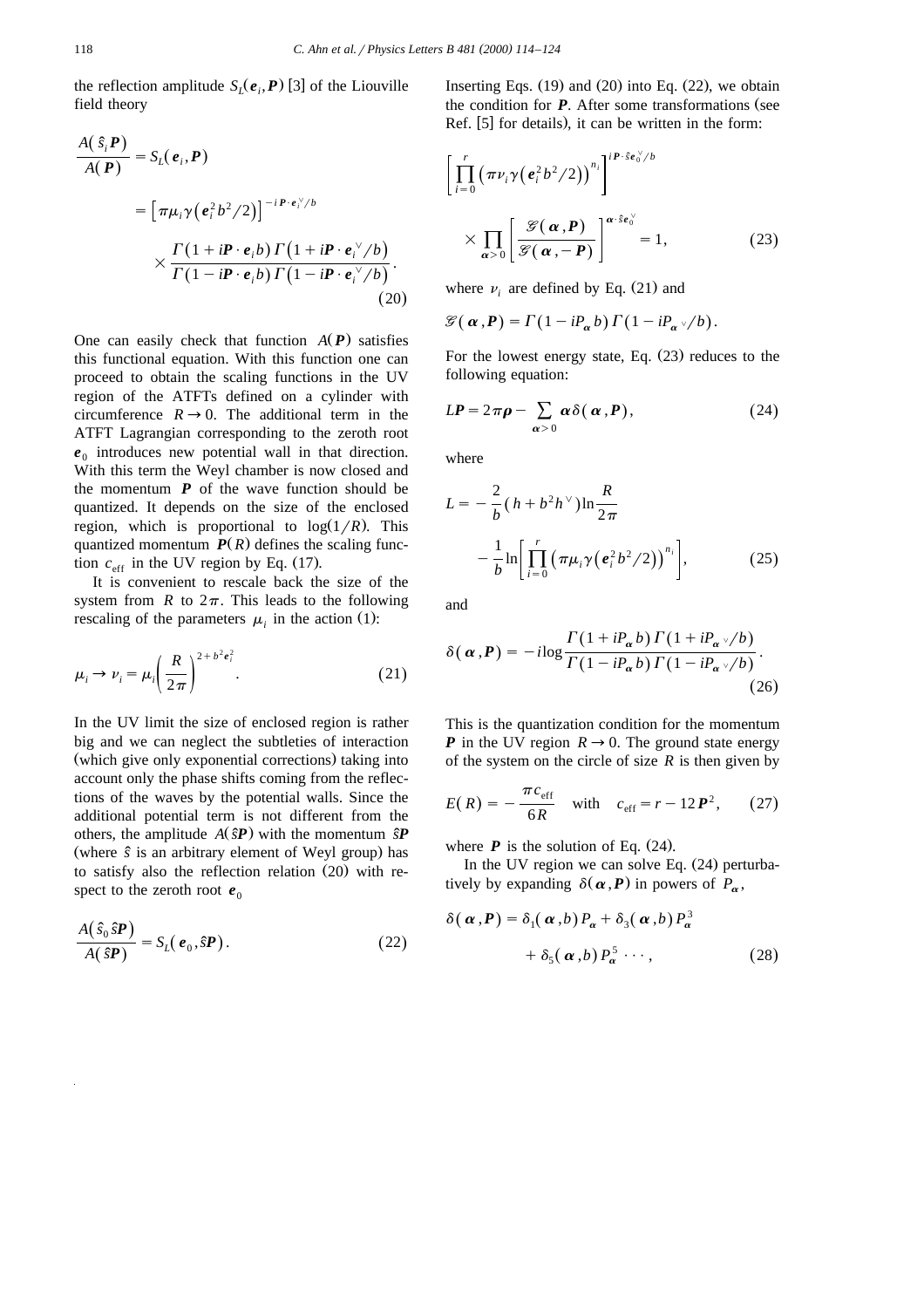the reflection amplitude  $S_i(e_i, P)$  [3] of the Liouville field theory

$$
\frac{A(\hat{s}_i P)}{A(P)} = S_L(e_i, P)
$$
\n
$$
= \left[ \pi \mu_i \gamma (e_i^2 b^2 / 2) \right]^{-i P \cdot e_i^{\vee}/b}
$$
\n
$$
\times \frac{\Gamma(1 + i P \cdot e_i b) \Gamma(1 + i P \cdot e_i^{\vee}/b)}{\Gamma(1 - i P \cdot e_i b) \Gamma(1 - i P \cdot e_i^{\vee}/b)}.
$$
\n(20)

One can easily check that function  $A(P)$  satisfies this functional equation. With this function one can proceed to obtain the scaling functions in the UV region of the ATFTs defined on a cylinder with circumference  $R \rightarrow 0$ . The additional term in the ATFT Lagrangian corresponding to the zeroth root  $e_0$  introduces new potential wall in that direction. With this term the Weyl chamber is now closed and the momentum  $P$  of the wave function should be quantized. It depends on the size of the enclosed region, which is proportional to  $log(1/R)$ . This quantized momentum  $P(R)$  defines the scaling function  $c_{\text{eff}}$  in the UV region by Eq. (17).

It is convenient to rescale back the size of the system from *R* to  $2\pi$ . This leads to the following rescaling of the parameters  $\mu_i$  in the action (1):

$$
\mu_i \to \nu_i = \mu_i \left(\frac{R}{2\pi}\right)^{2+b^2 e_i^2}.
$$
 (21)

In the UV limit the size of enclosed region is rather big and we can neglect the subtleties of interaction (which give only exponential corrections) taking into account only the phase shifts coming from the reflections of the waves by the potential walls. Since the additional potential term is not different from the others, the amplitude  $A(\hat{s}P)$  with the momentum  $\hat{s}P$ (where  $\hat{s}$  is an arbitrary element of Weyl group) has to satisfy also the reflection relation  $(20)$  with respect to the zeroth root  $e_0$ 

$$
\frac{A(\hat{s}_0 \hat{s} \boldsymbol{P})}{A(\hat{s} \boldsymbol{P})} = S_L(\boldsymbol{e}_0, \hat{s} \boldsymbol{P}).
$$
\n(22)

Inserting Eqs.  $(19)$  and  $(20)$  into Eq.  $(22)$ , we obtain the condition for  $P$ . After some transformations (see Ref.  $[5]$  for details), it can be written in the form:

$$
\left[\prod_{i=0}^{r} \left(\pi \nu_{i} \gamma \left(e_{i}^{2} b^{2} / 2\right)\right)^{n_{i}}\right]^{i P \cdot \hat{s} e_{0}^{\vee}/b}
$$
\n
$$
\times \prod_{\alpha > 0} \left[\frac{\mathcal{G}(\alpha, P)}{\mathcal{G}(\alpha, -P)}\right]^{\alpha \cdot \hat{s} e_{0}^{\vee}} = 1, \tag{23}
$$

where  $\nu_i$  are defined by Eq. (21) and

$$
\mathscr{G}(\alpha,\boldsymbol{P})=\Gamma(1-iP_{\alpha}b)\Gamma(1-iP_{\alpha}\sqrt{b}).
$$

For the lowest energy state, Eq.  $(23)$  reduces to the following equation:

$$
LP = 2\pi \rho - \sum_{\alpha > 0} \alpha \delta(\alpha, P), \qquad (24)
$$

where

$$
L = -\frac{2}{b} (h + b^2 h^\vee) \ln \frac{R}{2\pi}
$$
  
 
$$
-\frac{1}{b} \ln \left[ \prod_{i=0}^r (\pi \mu_i \gamma (e_i^2 b^2 / 2))^{n_i} \right],
$$
 (25)

and

$$
\delta(\alpha, P) = -i \log \frac{\Gamma(1 + iP_{\alpha}b) \Gamma(1 + iP_{\alpha} \sqrt{b})}{\Gamma(1 - iP_{\alpha}b) \Gamma(1 - iP_{\alpha} \sqrt{b})}.
$$
\n(26)

This is the quantization condition for the momentum *P* in the UV region  $R \rightarrow 0$ . The ground state energy of the system on the circle of size  $R$  is then given by

$$
E(R) = -\frac{\pi c_{\text{eff}}}{6R}
$$
 with  $c_{\text{eff}} = r - 12P^2$ , (27)

where  $P$  is the solution of Eq.  $(24)$ .

In the UV region we can solve Eq.  $(24)$  perturbatively by expanding  $\delta(\alpha, P)$  in powers of  $P_{\alpha}$ ,

$$
\delta(\boldsymbol{\alpha}, P) = \delta_1(\boldsymbol{\alpha}, b) P_{\boldsymbol{\alpha}} + \delta_3(\boldsymbol{\alpha}, b) P_{\boldsymbol{\alpha}}^3
$$

$$
+ \delta_5(\boldsymbol{\alpha}, b) P_{\boldsymbol{\alpha}}^5 \cdots,
$$
(28)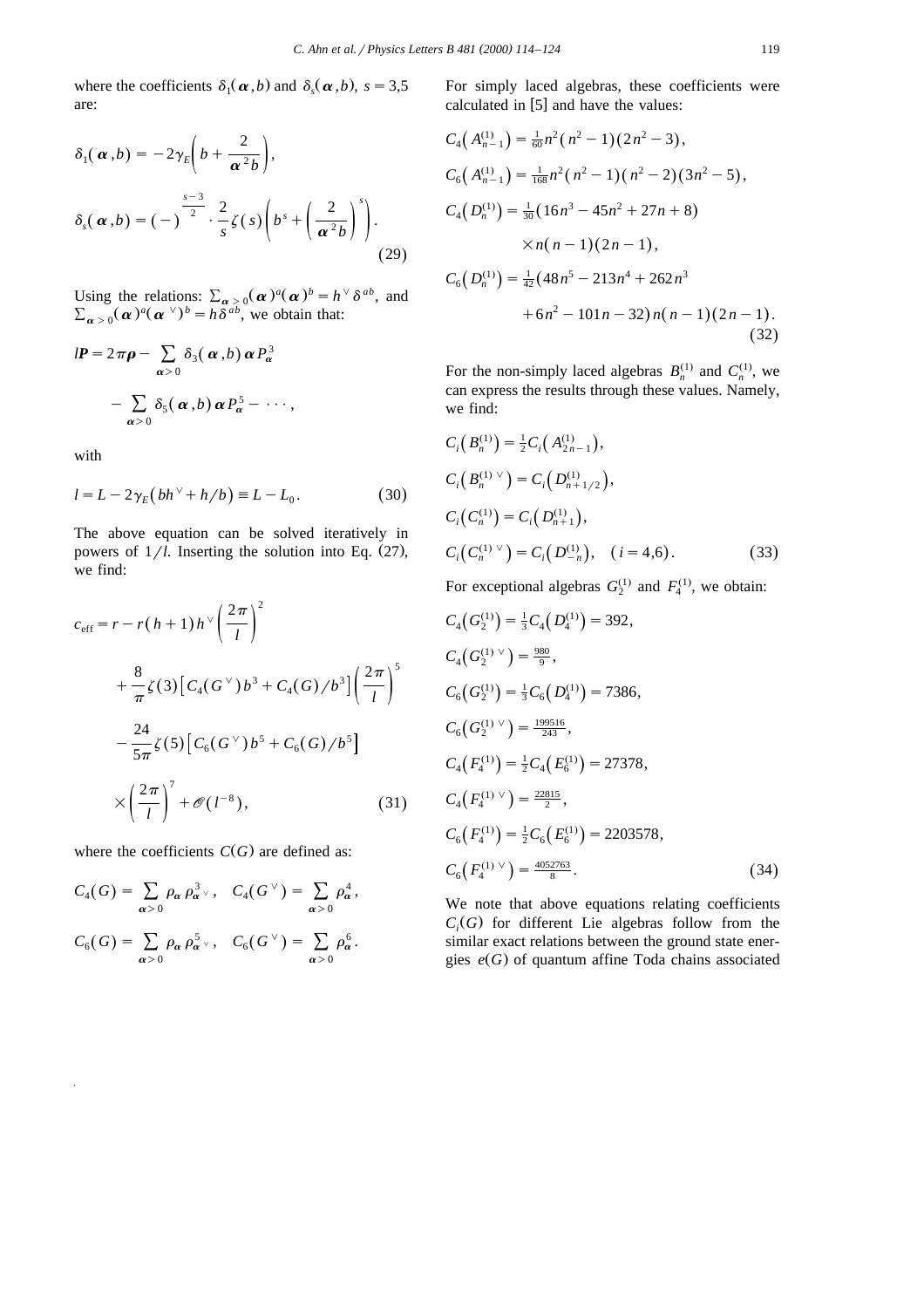where the coefficients  $\delta_1(\boldsymbol{\alpha}, b)$  and  $\delta_s(\boldsymbol{\alpha}, b)$ ,  $s = 3.5$ are:

$$
\delta_1(\boldsymbol{\alpha},b) = -2\gamma_E\bigg(b + \frac{2}{\boldsymbol{\alpha}^2b}\bigg),
$$
  

$$
\delta_s(\boldsymbol{\alpha},b) = (-)^{\frac{s-3}{2}} \cdot \frac{2}{s}\zeta(s)\bigg(b^s + \bigg(\frac{2}{\boldsymbol{\alpha}^2b}\bigg)^s\bigg).
$$
 (29)

Using the relations:  $\sum_{\alpha > 0} (\alpha)^a (\alpha)^b = h^{\vee} \delta^{ab}$ , and  $\sum_{\alpha > 0} (\alpha)^a (\alpha^{\vee})^b = h \overline{\delta^{ab}}$ , we obtain that:

$$
dP = 2\pi \rho - \sum_{\alpha > 0} \delta_3(\alpha, b) \alpha P_\alpha^3
$$

$$
- \sum_{\alpha > 0} \delta_5(\alpha, b) \alpha P_\alpha^5 - \cdots,
$$

with

$$
l = L - 2\gamma_E \left( bh^{\vee} + h/b \right) \equiv L - L_0. \tag{30}
$$

The above equation can be solved iteratively in powers of  $1/l$ . Inserting the solution into Eq.  $(27)$ , we find:

$$
c_{\text{eff}} = r - r(h+1)h^{\vee} \left(\frac{2\pi}{l}\right)^2
$$
  
+  $\frac{8}{\pi} \zeta(3) \left[ C_4(G^{\vee})b^3 + C_4(G)/b^3 \right] \left(\frac{2\pi}{l}\right)^5$   
-  $\frac{24}{5\pi} \zeta(5) \left[ C_6(G^{\vee})b^5 + C_6(G)/b^5 \right]$   
 $\times \left(\frac{2\pi}{l}\right)^7 + \mathcal{O}(l^{-8}),$  (31)

where the coefficients  $C(G)$  are defined as:

$$
C_4(G) = \sum_{\alpha > 0} \rho_\alpha \rho_{\alpha}^3 \,\, \forall , \quad C_4(G^{\vee}) = \sum_{\alpha > 0} \rho_\alpha^4,
$$
  

$$
C_6(G) = \sum_{\alpha > 0} \rho_\alpha \rho_{\alpha}^5 \,\, \forall , \quad C_6(G^{\vee}) = \sum_{\alpha > 0} \rho_\alpha^6.
$$

For simply laced algebras, these coefficients were calculated in  $[5]$  and have the values:

$$
C_4(A_{n-1}^{(1)}) = \frac{1}{60}n^2(n^2 - 1)(2n^2 - 3),
$$
  
\n
$$
C_6(A_{n-1}^{(1)}) = \frac{1}{168}n^2(n^2 - 1)(n^2 - 2)(3n^2 - 5),
$$
  
\n
$$
C_4(D_n^{(1)}) = \frac{1}{30}(16n^3 - 45n^2 + 27n + 8)
$$
  
\n
$$
\times n(n - 1)(2n - 1),
$$
  
\n
$$
C_6(D_n^{(1)}) = \frac{1}{42}(48n^5 - 213n^4 + 262n^3 + 6n^2 - 101n - 32)n(n - 1)(2n - 1).
$$
  
\n(32)

For the non-simply laced algebras  $B_n^{(1)}$  and  $C_n^{(1)}$ , we can express the results through these values. Namely, we find:

$$
C_i(B_n^{(1)}) = \frac{1}{2}C_i(A_{2n-1}^{(1)}),
$$
  
\n
$$
C_i(B_n^{(1)} \vee) = C_i(D_{n+1/2}^{(1)}),
$$
  
\n
$$
C_i(C_n^{(1)}) = C_i(D_{n+1}^{(1)}),
$$
  
\n
$$
C_i(C_n^{(1)} \vee) = C_i(D_{-n}^{(1)}), \quad (i = 4,6).
$$
\n(33)

For exceptional algebras  $G_2^{(1)}$  and  $F_4^{(1)}$ , we obtain:

$$
C_4(G_2^{(1)}) = \frac{1}{3}C_4(D_4^{(1)}) = 392,
$$
  
\n
$$
C_4(G_2^{(1)} \vee) = \frac{980}{9},
$$
  
\n
$$
C_6(G_2^{(1)}) = \frac{1}{3}C_6(D_4^{(1)}) = 7386,
$$
  
\n
$$
C_6(G_2^{(1)} \vee) = \frac{199516}{243},
$$
  
\n
$$
C_4(F_4^{(1)}) = \frac{1}{2}C_4(E_6^{(1)}) = 27378,
$$
  
\n
$$
C_4(F_4^{(1)} \vee) = \frac{22815}{2},
$$
  
\n
$$
C_6(F_4^{(1)}) = \frac{1}{2}C_6(E_6^{(1)}) = 2203578,
$$
  
\n
$$
C_6(F_4^{(1)} \vee) = \frac{4052763}{8}.
$$
\n(34)

We note that above equations relating coefficients  $C_i(G)$  for different Lie algebras follow from the similar exact relations between the ground state energies  $e(G)$  of quantum affine Toda chains associated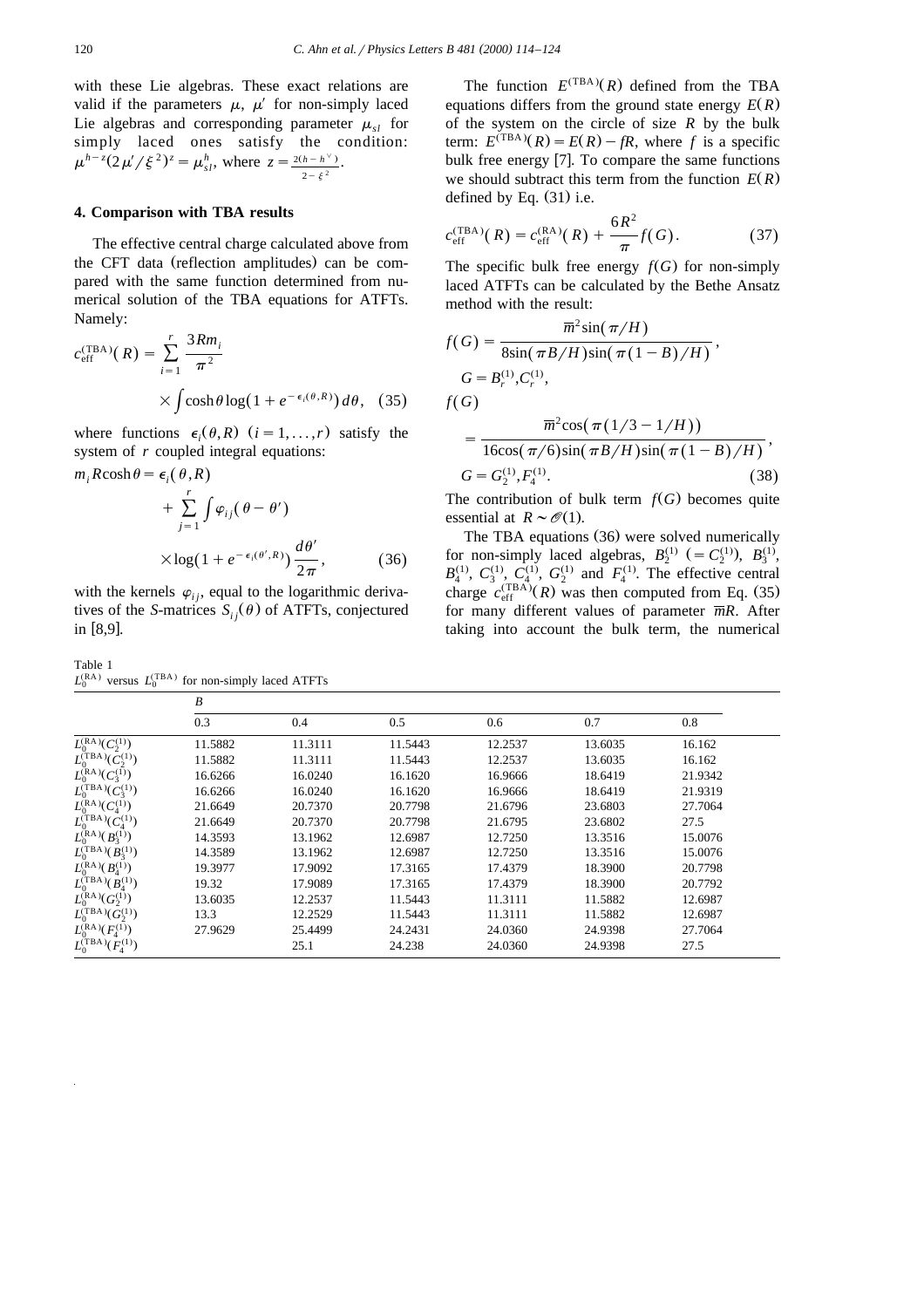with these Lie algebras. These exact relations are valid if the parameters  $\mu$ ,  $\mu'$  for non-simply laced Lie algebras and corresponding parameter  $\mu_{sl}$  for simply laced ones satisfy the condition:  $\mu^{h-z}(2\mu'/\xi^2)^z = \mu_{sl}^h$ , where  $z = \frac{2(h-h^{\vee})}{2-\xi^2}$ .

#### **4. Comparison with TBA results**

The effective central charge calculated above from the CFT data (reflection amplitudes) can be compared with the same function determined from numerical solution of the TBA equations for ATFTs. Namely:

$$
c_{\text{eff}}^{(\text{TBA})}(R) = \sum_{i=1}^{r} \frac{3Rm_i}{\pi^2}
$$

$$
\times \int \cosh\theta \log(1 + e^{-\epsilon_i(\theta, R)}) d\theta, \quad (35)
$$

where functions  $\epsilon_i(\theta, R)$   $(i = 1, ..., r)$  satisfy the system of *r* coupled integral equations:

$$
m_i R \cosh \theta = \epsilon_i(\theta, R)
$$
  
+ 
$$
\sum_{j=1}^r \int \varphi_{ij}(\theta - \theta')
$$
  

$$
\times \log(1 + e^{-\epsilon_i(\theta', R)}) \frac{d\theta'}{2\pi},
$$
 (36)

with the kernels  $\varphi_{ij}$ , equal to the logarithmic derivatives of the *S*-matrices  $S_{ij}(\theta)$  of ATFTs, conjectured in  $[8,9]$ .

Table 1  $L_0^{(RA)}$  versus  $L_0^{(TBA)}$  for non-simply laced ATFTs

The function  $E^{(TBA)}(R)$  defined from the TBA equations differs from the ground state energy  $E(R)$ of the system on the circle of size *R* by the bulk term:  $E^{(TBA)}(R) = E(R) - fR$ , where *f* is a specific bulk free energy  $[7]$ . To compare the same functions we should subtract this term from the function  $E(R)$ defined by Eq.  $(31)$  i.e.

$$
c_{\rm eff}^{\rm (TBA)}(R) = c_{\rm eff}^{\rm (RA)}(R) + \frac{6R^2}{\pi} f(G). \tag{37}
$$

The specific bulk free energy  $f(G)$  for non-simply laced ATFTs can be calculated by the Bethe Ansatz method with the result:

$$
f(G) = \frac{\overline{m}^2 \sin(\pi/H)}{8\sin(\pi B/H)\sin(\pi(1-B)/H)},
$$
  
\n
$$
G = B_r^{(1)}, C_r^{(1)},
$$
  
\n
$$
f(G)
$$
  
\n
$$
= \frac{\overline{m}^2 \cos(\pi(1/3 - 1/H))}{16\cos(\pi/6)\sin(\pi B/H)\sin(\pi(1-B)/H)},
$$
  
\n
$$
G = G_2^{(1)}, F_4^{(1)}.
$$
 (38)

The contribution of bulk term  $f(G)$  becomes quite essential at  $R \sim \mathcal{O}(1)$ .

The TBA equations (36) were solved numerically for non-simply laced algebras,  $B_2^{(1)}$  (=  $C_2^{(1)}$ ),  $B_3^{(1)}$ ,  $B_4^{(1)}$ ,  $C_3^{(1)}$ ,  $C_4^{(1)}$ ,  $G_2^{(1)}$  and  $F_4^{(1)}$ charge  $c_{\text{eff}}^{(\text{TBA})}(R)$  was then computed from Eq. (35) for many different values of parameter *mR*. After taking into account the bulk term, the numerical

|                                 | B       |         |         |         |         |         |
|---------------------------------|---------|---------|---------|---------|---------|---------|
|                                 | 0.3     | 0.4     | 0.5     | 0.6     | 0.7     | 0.8     |
| $L_0^{(RA)}(C_2^{(1)})$         | 11.5882 | 11.3111 | 11.5443 | 12.2537 | 13.6035 | 16.162  |
| $L_0^{\text{(TBA)}}(C_2^{(1)})$ | 11.5882 | 11.3111 | 11.5443 | 12.2537 | 13.6035 | 16.162  |
| $L_0^{(RA)}(C_3^{(1)})$         | 16.6266 | 16.0240 | 16.1620 | 16.9666 | 18.6419 | 21.9342 |
| $L_0^{\text{(TBA)}}(C_3^{(1)})$ | 16.6266 | 16.0240 | 16.1620 | 16.9666 | 18.6419 | 21.9319 |
| $L_0^{(RA)}(C_4^{(1)})$         | 21.6649 | 20.7370 | 20.7798 | 21.6796 | 23.6803 | 27.7064 |
| $L_0^{\text{(TBA)}}(C_4^{(1)})$ | 21.6649 | 20.7370 | 20.7798 | 21.6795 | 23.6802 | 27.5    |
| $L_0^{(RA)}(B_3^{(1)})$         | 14.3593 | 13.1962 | 12.6987 | 12.7250 | 13.3516 | 15.0076 |
| $L_0^{\text{(TBA)}}(B_3^{(1)})$ | 14.3589 | 13.1962 | 12.6987 | 12.7250 | 13.3516 | 15.0076 |
| $L_0^{(RA)}(B_4^{(1)})$         | 19.3977 | 17.9092 | 17.3165 | 17.4379 | 18.3900 | 20.7798 |
| $L_0^{(TBA)}(B_4^{(1)})$        | 19.32   | 17.9089 | 17.3165 | 17.4379 | 18.3900 | 20.7792 |
| $L_0^{(RA)}(G_2^{(1)})$         | 13.6035 | 12.2537 | 11.5443 | 11.3111 | 11.5882 | 12.6987 |
| $L_0^{\text{(TBA)}}(G_2^{(1)})$ | 13.3    | 12.2529 | 11.5443 | 11.3111 | 11.5882 | 12.6987 |
| $L_0^{(RA)}(F_4^{(1)})$         | 27.9629 | 25.4499 | 24.2431 | 24.0360 | 24.9398 | 27.7064 |
| $L_0^{\text{(TBA)}}(F_4^{(1)})$ |         | 25.1    | 24.238  | 24.0360 | 24.9398 | 27.5    |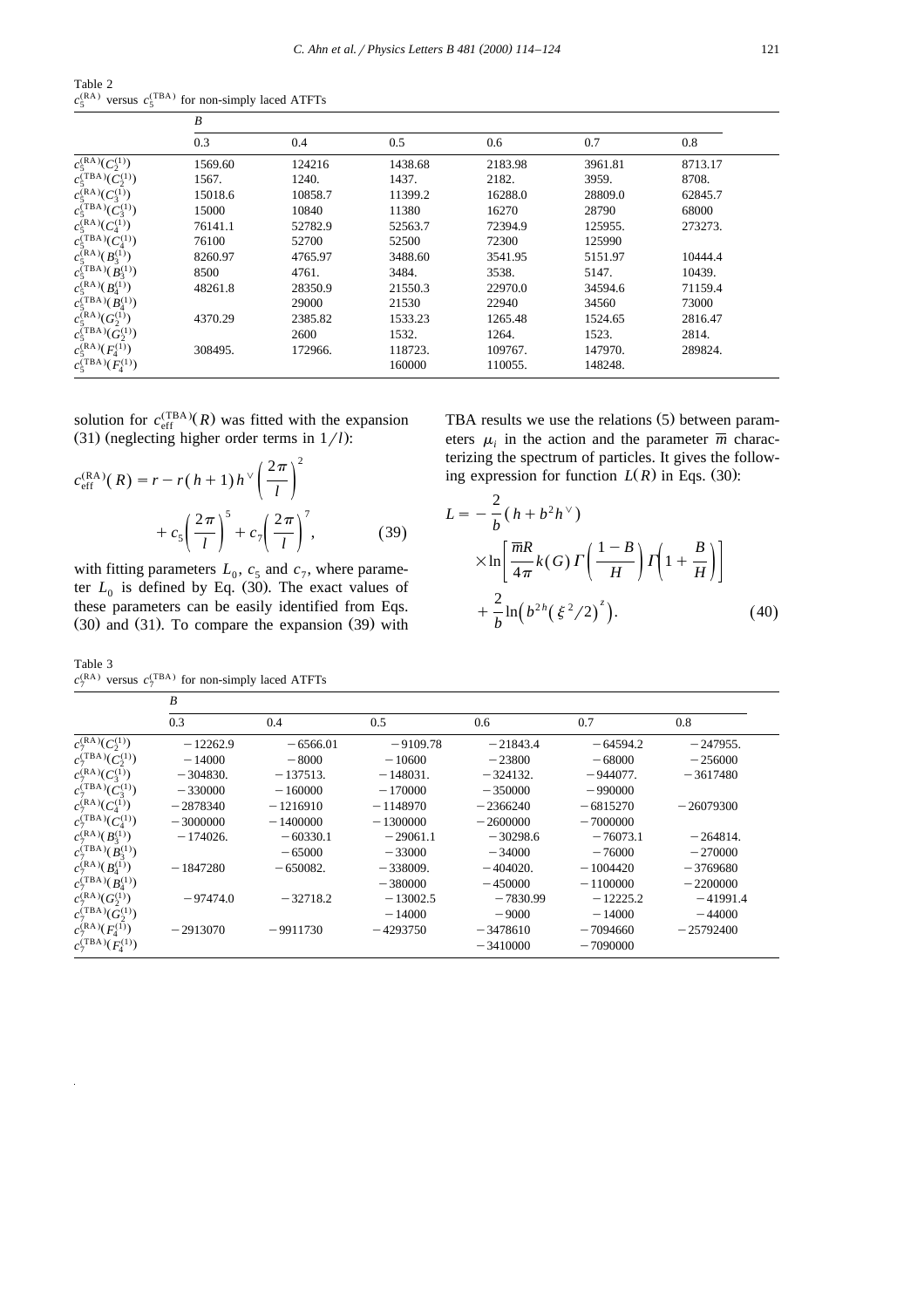Table 2  $c_5^{\text{(RA)}}$  versus  $c_5^{\text{(TRA)}}$  for non-simply laced ATFTs

|                                       | B       |         |         |         |         |         |  |
|---------------------------------------|---------|---------|---------|---------|---------|---------|--|
|                                       | 0.3     | 0.4     | 0.5     | 0.6     | 0.7     | 0.8     |  |
| $c_5^{(RA)}(C_2^{(1)})$               | 1569.60 | 124216  | 1438.68 | 2183.98 | 3961.81 | 8713.17 |  |
| $c_5^{\text{(TBA)}}(\bar{C}_2^{(1)})$ | 1567.   | 1240.   | 1437.   | 2182.   | 3959.   | 8708.   |  |
| $c_5^{(RA)}(C_3^{(1)})$               | 15018.6 | 10858.7 | 11399.2 | 16288.0 | 28809.0 | 62845.7 |  |
| $c_5^{\text{(TBA)}}(C_3^{(1)})$       | 15000   | 10840   | 11380   | 16270   | 28790   | 68000   |  |
| $c_5^{(RA)}(C_4^{(1)})$               | 76141.1 | 52782.9 | 52563.7 | 72394.9 | 125955. | 273273. |  |
| $c_5^{\text{(TBA)}}(C_4^{(1)})$       | 76100   | 52700   | 52500   | 72300   | 125990  |         |  |
| $c_5^{(RA)}(B_3^{(1)})$               | 8260.97 | 4765.97 | 3488.60 | 3541.95 | 5151.97 | 10444.4 |  |
| $c_5^{\text{(TBA)}}(B_3^{(1)})$       | 8500    | 4761.   | 3484.   | 3538.   | 5147.   | 10439.  |  |
| $c_5^{\rm (RA)}(B_4^{(1)})$           | 48261.8 | 28350.9 | 21550.3 | 22970.0 | 34594.6 | 71159.4 |  |
| $c_5^{\text{(TBA)}}(B_4^{(1)})$       |         | 29000   | 21530   | 22940   | 34560   | 73000   |  |
| $c_5^{(RA)}(G_2^{(1)})$               | 4370.29 | 2385.82 | 1533.23 | 1265.48 | 1524.65 | 2816.47 |  |
| $c_5^{\text{(TBA)}}(G_2^{(1)})$       |         | 2600    | 1532.   | 1264.   | 1523.   | 2814.   |  |
| $c_5^{(RA)}(F_4^{(1)})$               | 308495. | 172966. | 118723. | 109767. | 147970. | 289824. |  |
| $c_5^{\text{(TBA)}}(F_4^{(1)})$       |         |         | 160000  | 110055. | 148248. |         |  |

solution for  $c_{\text{eff}}^{(\text{TBA})}(R)$  was fitted with the expansion  $(31)$  (neglecting higher order terms in  $1/l$ ):

$$
c_{\text{eff}}^{(\text{RA})}(R) = r - r(h+1)h^{\vee} \left(\frac{2\pi}{l}\right)^2 + c_5 \left(\frac{2\pi}{l}\right)^5 + c_7 \left(\frac{2\pi}{l}\right)^7, \tag{39}
$$

with fitting parameters  $L_0$ ,  $c_5$  and  $c_7$ , where parameter  $L_0$  is defined by Eq. (30). The exact values of these parameters can be easily identified from Eqs.  $(30)$  and  $(31)$ . To compare the expansion  $(39)$  with

Table 3  $c_7^{\text{(RA)}}$  versus  $c_7^{\text{(TBA)}}$  for non-simply laced ATFTs

TBA results we use the relations  $(5)$  between parameters  $\mu_i$  in the action and the parameter  $\overline{m}$  characterizing the spectrum of particles. It gives the following expression for function  $L(R)$  in Eqs. (30):

$$
L = -\frac{2}{b} (h + b^2 h^{\vee})
$$
  
 
$$
\times \ln \left[ \frac{\overline{m}R}{4\pi} k(G) \Gamma \left( \frac{1-B}{H} \right) \Gamma \left( 1 + \frac{B}{H} \right) \right]
$$
  
 
$$
+ \frac{2}{b} \ln \left( b^{2h} \left( \xi^2 / 2 \right)^{z} \right).
$$
 (40)

|                                 | B          |            |            |            |            |             |  |
|---------------------------------|------------|------------|------------|------------|------------|-------------|--|
|                                 | 0.3        | 0.4        | 0.5        | 0.6        | 0.7        | 0.8         |  |
| $c_7^{\text{(RA)}}(C_2^{(1)})$  | $-12262.9$ | $-6566.01$ | $-9109.78$ | $-21843.4$ | $-64594.2$ | $-247955.$  |  |
| $c_7^{\text{(TBA)}}(C_2^{(1)})$ | $-14000$   | $-8000$    | $-10600$   | $-23800$   | $-68000$   | $-256000$   |  |
| $c_7^{\text{(RA)}}(C_3^{(1)})$  | $-304830.$ | $-137513.$ | $-148031.$ | $-324132.$ | $-944077.$ | $-3617480$  |  |
| $c_7^{\text{(TBA)}}(C_3^{(1)})$ | $-330000$  | $-160000$  | $-170000$  | $-350000$  | $-990000$  |             |  |
| $c_7^{\text{(RA)}}(C_4^{(1)})$  | $-2878340$ | $-1216910$ | $-1148970$ | $-2366240$ | $-6815270$ | $-26079300$ |  |
| $c_7^{\text{(TBA)}}(C_4^{(1)})$ | $-3000000$ | $-1400000$ | $-1300000$ | $-2600000$ | $-7000000$ |             |  |
| $c_7^{\rm (RA)}(B_3^{(1)})$     | $-174026.$ | $-60330.1$ | $-29061.1$ | $-30298.6$ | $-76073.1$ | $-264814.$  |  |
| $c_7^{\text{(TBA)}}(B_3^{(1)})$ |            | $-65000$   | $-33000$   | $-34000$   | $-76000$   | $-270000$   |  |
| $c_7^{\rm (RA)}(B_4^{(1)})$     | $-1847280$ | $-650082.$ | $-338009.$ | $-404020.$ | $-1004420$ | $-3769680$  |  |
| $c_7^{\text{(TBA)}}(B_4^{(1)})$ |            |            | $-380000$  | $-450000$  | $-1100000$ | $-2200000$  |  |
| $c_7^{\text{(RA)}}(G_2^{(1)})$  | $-97474.0$ | $-32718.2$ | $-13002.5$ | $-7830.99$ | $-12225.2$ | $-41991.4$  |  |
| $c_7^{\text{(TBA)}}(G_2^{(1)})$ |            |            | $-14000$   | $-9000$    | $-14000$   | $-44000$    |  |
| $c_7^{\text{(RA)}}(F_4^{(1)})$  | $-2913070$ | $-9911730$ | $-4293750$ | $-3478610$ | $-7094660$ | $-25792400$ |  |
| $c_7^{\text{(TBA)}}(F_4^{(1)})$ |            |            |            | $-3410000$ | $-7090000$ |             |  |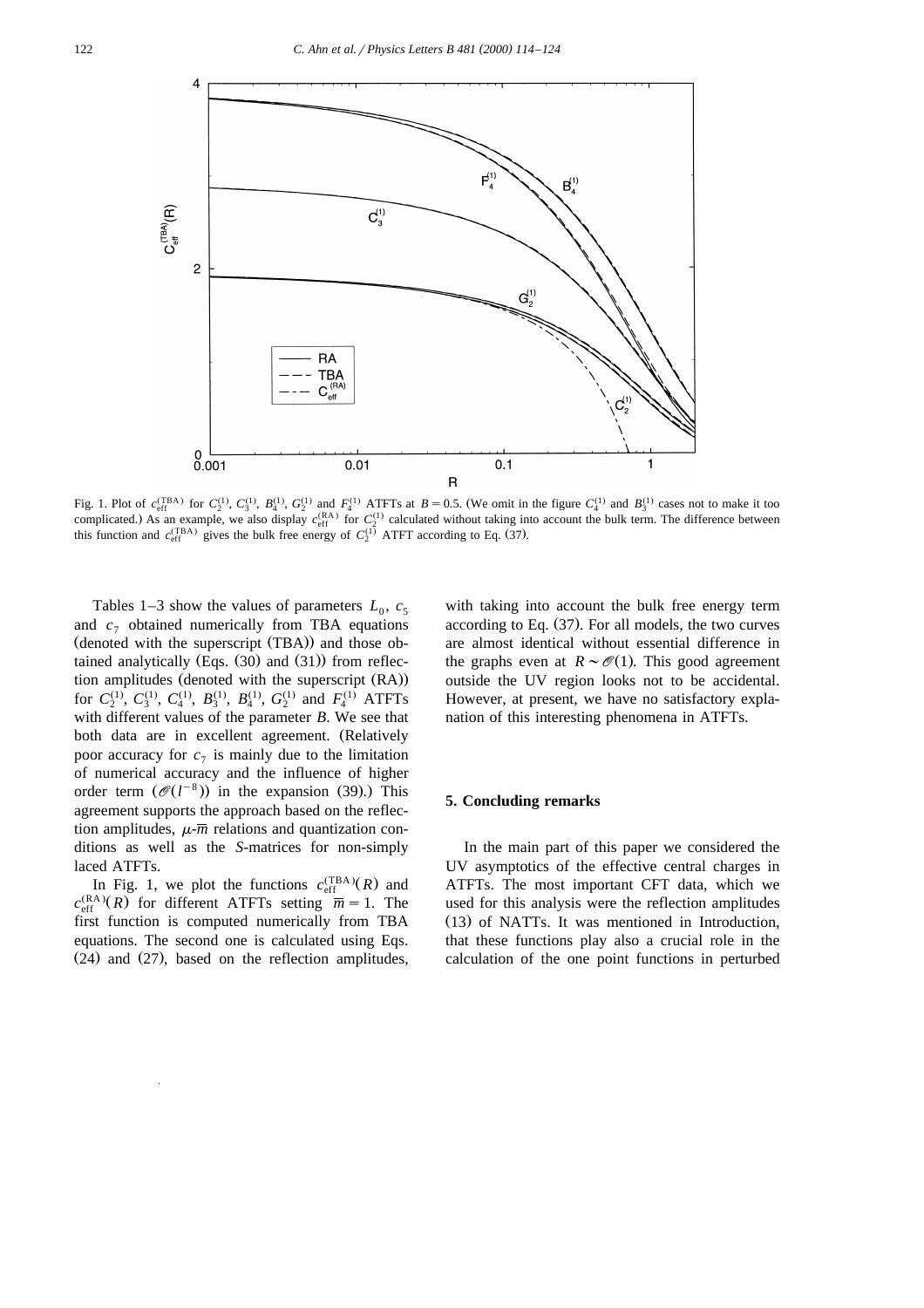

Fig. 1. Plot of  $c_{\text{eff}}^{(\text{TBA})}$  for  $C_2^{(1)}$ ,  $C_3^{(1)}$ ,  $B_4^{(1)}$ ,  $G_2^{(1)}$  and  $F_4^{(1)}$  ATFTs at  $B = 0.5$ . (We omit in the figure  $C_4^{(1)}$  and  $B_3^{(1)}$  cases not to make it too complicated.) As an example, we also display  $c_{\text{eff}}^{(\text{RA})}$  for  $C_2^{(1)}$  calculated without taking into account the bulk term. The difference between this function and  $c_{\text{eff}}^{(\text{TBA})}$  gives the bulk free energy of  $C_2^{(1)}$  ATFT according to Eq. (37).

Tables 1–3 show the values of parameters  $L_0$ ,  $c_5$ and  $c_7$  obtained numerically from TBA equations  $(denoted with the superscript (TBA))$  and those obtained analytically  $(Eqs. (30)$  and  $(31)$  from reflection amplitudes (denoted with the superscript (RA)) for  $C_2^{(1)}$ ,  $C_3^{(1)}$ ,  $C_4^{(1)}$ ,  $B_3^{(1)}$ ,  $B_4^{(1)}$ ,  $G_2^{(1)}$  and  $F_4^{(1)}$  ATFTs with different values of the parameter *B*. We see that both data are in excellent agreement. (Relatively poor accuracy for  $c_7$  is mainly due to the limitation of numerical accuracy and the influence of higher order term  $(\mathcal{O}(l^{-8}))$  in the expansion (39).) This agreement supports the approach based on the reflection amplitudes,  $\mu$ - $\overline{m}$  relations and quantization conditions as well as the *S*-matrices for non-simply laced ATFTs.

In Fig. 1, we plot the functions  $c_{\text{eff}}^{(\text{TBA})}(R)$  and  $c_{\text{eff}}^{(RA)}(R)$  for different ATFTs setting  $\overline{m} = 1$ . The first function is computed numerically from TBA equations. The second one is calculated using Eqs.  $(24)$  and  $(27)$ , based on the reflection amplitudes,

with taking into account the bulk free energy term according to Eq.  $(37)$ . For all models, the two curves are almost identical without essential difference in the graphs even at  $R \sim \mathcal{O}(1)$ . This good agreement outside the UV region looks not to be accidental. However, at present, we have no satisfactory explanation of this interesting phenomena in ATFTs.

#### **5. Concluding remarks**

In the main part of this paper we considered the UV asymptotics of the effective central charges in ATFTs. The most important CFT data, which we used for this analysis were the reflection amplitudes  $(13)$  of NATTs. It was mentioned in Introduction, that these functions play also a crucial role in the calculation of the one point functions in perturbed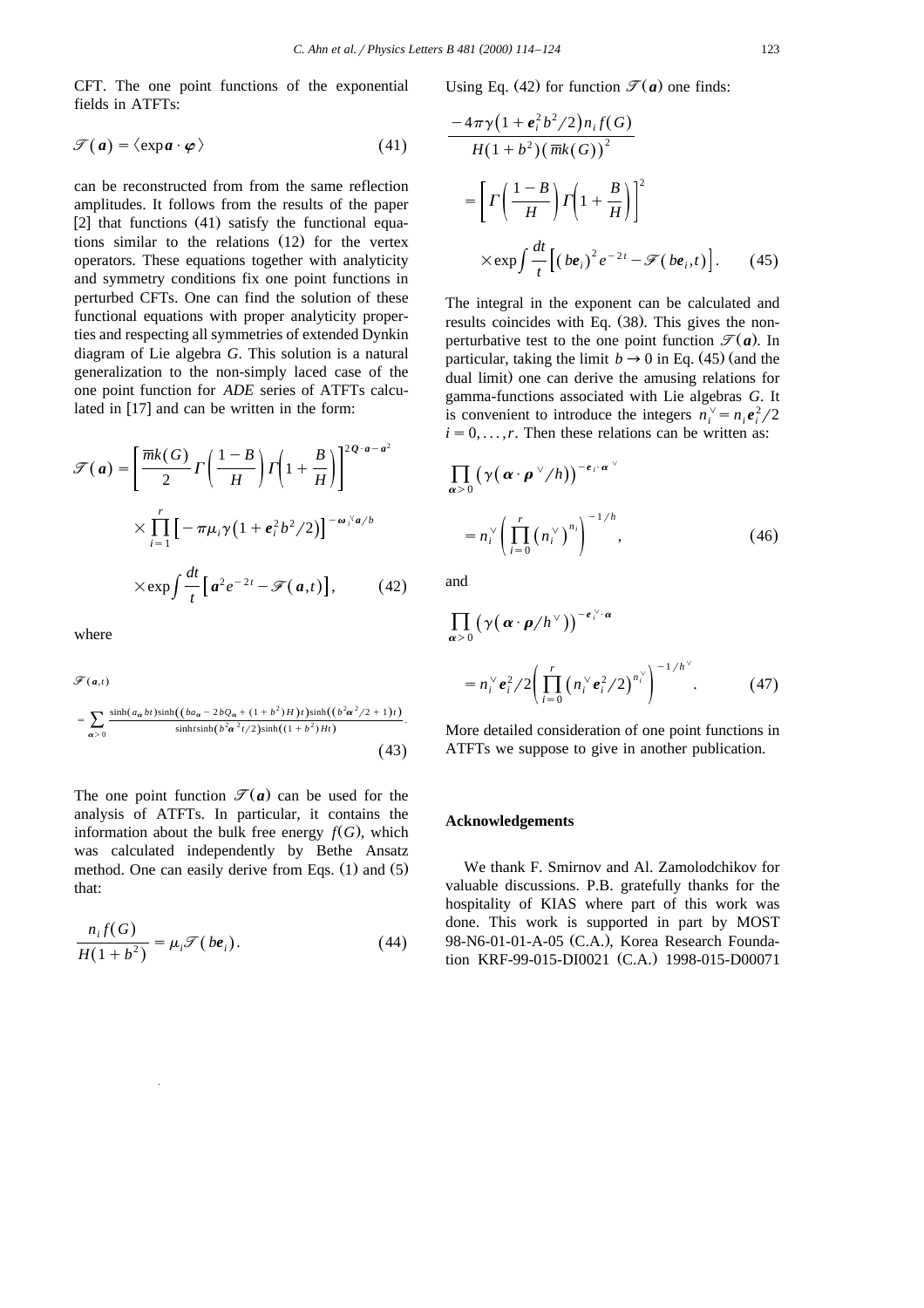CFT. The one point functions of the exponential fields in ATFTs:

$$
\mathcal{F}(\mathbf{a}) = \langle \exp \mathbf{a} \cdot \boldsymbol{\varphi} \rangle \tag{41}
$$

can be reconstructed from from the same reflection amplitudes. It follows from the results of the paper [2] that functions  $(41)$  satisfy the functional equations similar to the relations  $(12)$  for the vertex operators. These equations together with analyticity and symmetry conditions fix one point functions in perturbed CFTs. One can find the solution of these functional equations with proper analyticity properties and respecting all symmetries of extended Dynkin diagram of Lie algebra *G*. This solution is a natural generalization to the non-simply laced case of the one point function for *ADE* series of ATFTs calculated in  $[17]$  and can be written in the form:

$$
\mathcal{F}(\mathbf{a}) = \left[\frac{\overline{m}k(G)}{2}\Gamma\left(\frac{1-B}{H}\right)\Gamma\left(1+\frac{B}{H}\right)\right]^{2Q\cdot\mathbf{a}-\mathbf{a}^2}
$$

$$
\times \prod_{i=1}^r \left[-\pi\mu_i\gamma\left(1+\mathbf{e}_i^2b^2/2\right)\right]^{-\omega_i\mathbf{a}/b}
$$

$$
\times \exp\int \frac{dt}{t} \left[\mathbf{a}^2e^{-2t} - \mathcal{F}(\mathbf{a},t)\right],\qquad(42)
$$

where

$$
\mathcal{F}(a,t)
$$
\n
$$
= \sum_{\alpha > 0} \frac{\sinh(a_{\alpha}bt)\sinh((ba_{\alpha} - 2bQ_{\alpha} + (1 + b^2)H)t)\sinh((b^2\alpha^2/2 + 1)t)}{\sinh t \sinh(b^2\alpha^2t/2)\sinh((1 + b^2)Ht)}.
$$
\n
$$
(43)
$$

The one point function  $\mathcal{T}(a)$  can be used for the analysis of ATFTs. In particular, it contains the information about the bulk free energy  $f(G)$ , which was calculated independently by Bethe Ansatz method. One can easily derive from Eqs.  $(1)$  and  $(5)$ that:

$$
\frac{n_i f(G)}{H(1+b^2)} = \mu_i \mathcal{F}(be_i). \tag{44}
$$

Using Eq. (42) for function  $\mathcal{T}(\boldsymbol{a})$  one finds:

$$
\frac{-4\pi\gamma\left(1+e_i^2b^2/2\right)n_if(G)}{H(1+b^2)\left(\overline{mk}(G)\right)^2}
$$
\n
$$
=\left[\Gamma\left(\frac{1-B}{H}\right)\Gamma\left(1+\frac{B}{H}\right)\right]^2
$$
\n
$$
\times \exp\int \frac{dt}{t} \left[\left(be_i\right)^2 e^{-2t} - \mathcal{F}\left(be_i, t\right)\right]. \tag{45}
$$

The integral in the exponent can be calculated and results coincides with Eq.  $(38)$ . This gives the nonperturbative test to the one point function  $\mathcal{T}(\boldsymbol{a})$ . In particular, taking the limit  $b \rightarrow 0$  in Eq. (45) (and the dual limit) one can derive the amusing relations for gamma-functions associated with Lie algebras *G*. It is convenient to introduce the integers  $n_i^{\vee} = n_i e_i^2 / 2$  $i = 0, \ldots, r$ . Then these relations can be written as:

$$
\prod_{\alpha>0} \left(\gamma\big(\alpha \cdot \boldsymbol{\rho}^{\vee}/h\big)\right)^{-e_i \cdot \alpha^{\vee}}
$$

$$
= n_i^{\vee} \left(\prod_{i=0}^r \left(n_i^{\vee}\right)^{n_i}\right)^{-1/h}, \qquad (46)
$$

and

$$
\prod_{\alpha>0} \left( \gamma \big( \alpha \cdot \rho / h^{\vee} \big) \right)^{-e_i^{\vee} \cdot \alpha}
$$
\n
$$
= n_i^{\vee} e_i^2 / 2 \bigg( \prod_{i=0}^r \big( n_i^{\vee} e_i^2 / 2 \big)^{n_i^{\vee}} \bigg)^{-1/h^{\vee}} . \tag{47}
$$

More detailed consideration of one point functions in ATFTs we suppose to give in another publication.

#### **Acknowledgements**

We thank F. Smirnov and Al. Zamolodchikov for valuable discussions. P.B. gratefully thanks for the hospitality of KIAS where part of this work was done. This work is supported in part by MOST 98-N6-01-01-A-05 (C.A.), Korea Research Foundation KRF-99-015-DI0021 (C.A.) 1998-015-D00071